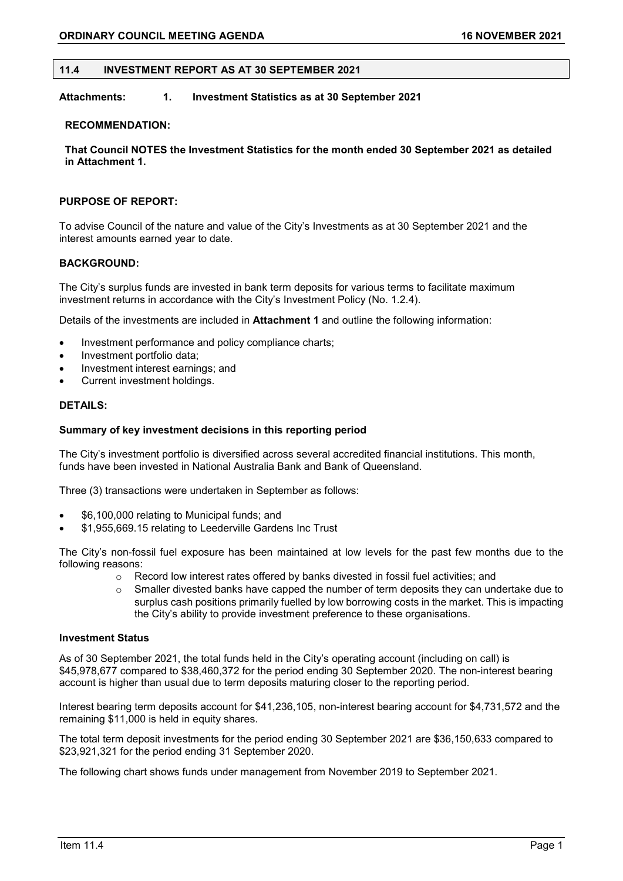### **11.4 INVESTMENT REPORT AS AT 30 SEPTEMBER 2021**

## **Attachments: 1. Investment Statistics as at 30 September 2021**

#### **RECOMMENDATION:**

**That Council NOTES the Investment Statistics for the month ended 30 September 2021 as detailed in Attachment 1.**

## **PURPOSE OF REPORT:**

To advise Council of the nature and value of the City's Investments as at 30 September 2021 and the interest amounts earned year to date.

### **BACKGROUND:**

The City's surplus funds are invested in bank term deposits for various terms to facilitate maximum investment returns in accordance with the City's Investment Policy (No. 1.2.4).

Details of the investments are included in **Attachment 1** and outline the following information:

- Investment performance and policy compliance charts;
- Investment portfolio data;
- Investment interest earnings; and
- Current investment holdings.

### **DETAILS:**

#### **Summary of key investment decisions in this reporting period**

The City's investment portfolio is diversified across several accredited financial institutions. This month, funds have been invested in National Australia Bank and Bank of Queensland.

Three (3) transactions were undertaken in September as follows:

- \$6,100,000 relating to Municipal funds; and
- \$1,955,669.15 relating to Leederville Gardens Inc Trust

The City's non-fossil fuel exposure has been maintained at low levels for the past few months due to the following reasons:

- o Record low interest rates offered by banks divested in fossil fuel activities; and
- $\circ$  Smaller divested banks have capped the number of term deposits they can undertake due to surplus cash positions primarily fuelled by low borrowing costs in the market. This is impacting the City's ability to provide investment preference to these organisations.

### **Investment Status**

As of 30 September 2021, the total funds held in the City's operating account (including on call) is \$45,978,677 compared to \$38,460,372 for the period ending 30 September 2020. The non-interest bearing account is higher than usual due to term deposits maturing closer to the reporting period.

Interest bearing term deposits account for \$41,236,105, non-interest bearing account for \$4,731,572 and the remaining \$11,000 is held in equity shares.

The total term deposit investments for the period ending 30 September 2021 are \$36,150,633 compared to \$23,921,321 for the period ending 31 September 2020.

The following chart shows funds under management from November 2019 to September 2021.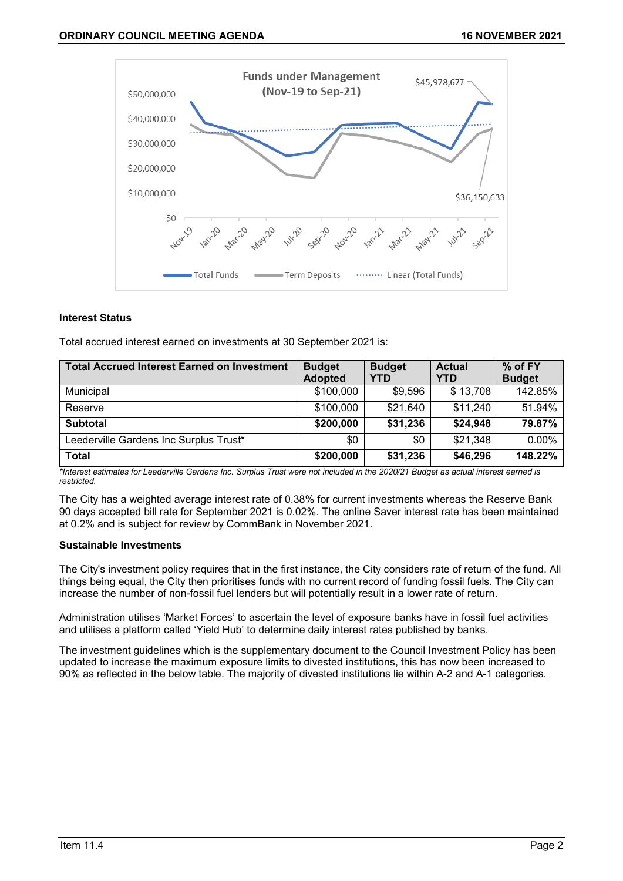

## **Interest Status**

Total accrued interest earned on investments at 30 September 2021 is:

| <b>Total Accrued Interest Earned on Investment</b> | <b>Budget</b>  | <b>Budget</b> | <b>Actual</b> | % of FY       |
|----------------------------------------------------|----------------|---------------|---------------|---------------|
|                                                    | <b>Adopted</b> | YTD           | YTD           | <b>Budget</b> |
| Municipal                                          | \$100,000      | \$9,596       | \$13,708      | 142.85%       |
| Reserve                                            | \$100,000      | \$21,640      | \$11,240      | 51.94%        |
| <b>Subtotal</b>                                    | \$200,000      | \$31,236      | \$24,948      | 79.87%        |
| Leederville Gardens Inc Surplus Trust*             | \$0            | \$0           | \$21,348      | $0.00\%$      |
| <b>Total</b>                                       | \$200,000      | \$31,236      | \$46,296      | 148.22%       |

*\*Interest estimates for Leederville Gardens Inc. Surplus Trust were not included in the 2020/21 Budget as actual interest earned is restricted.*

The City has a weighted average interest rate of 0.38% for current investments whereas the Reserve Bank 90 days accepted bill rate for September 2021 is 0.02%. The online Saver interest rate has been maintained at 0.2% and is subject for review by CommBank in November 2021.

### **Sustainable Investments**

The City's investment policy requires that in the first instance, the City considers rate of return of the fund. All things being equal, the City then prioritises funds with no current record of funding fossil fuels. The City can increase the number of non-fossil fuel lenders but will potentially result in a lower rate of return.

Administration utilises 'Market Forces' to ascertain the level of exposure banks have in fossil fuel activities and utilises a platform called 'Yield Hub' to determine daily interest rates published by banks.

The investment guidelines which is the supplementary document to the Council Investment Policy has been updated to increase the maximum exposure limits to divested institutions, this has now been increased to 90% as reflected in the below table. The majority of divested institutions lie within A-2 and A-1 categories.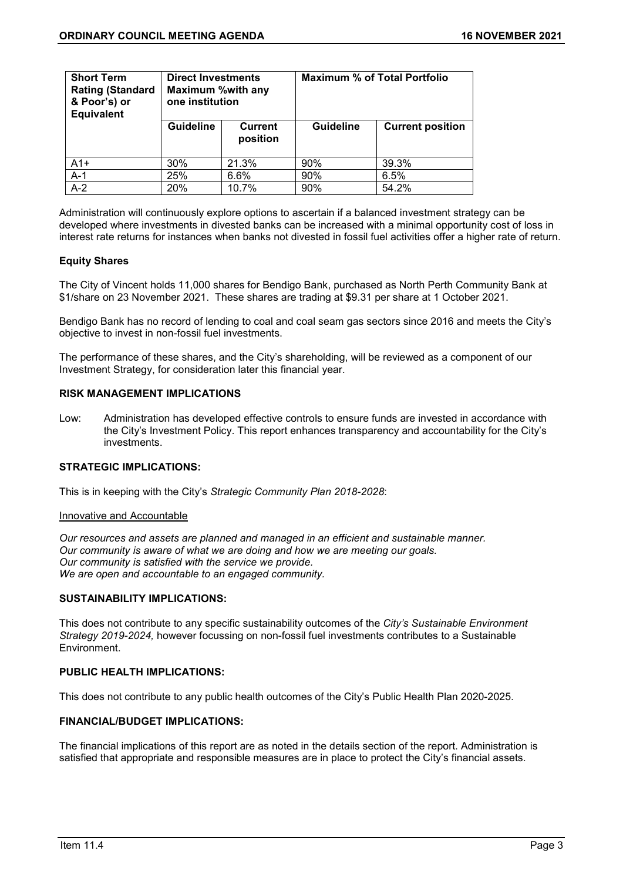| <b>Short Term</b><br><b>Rating (Standard</b><br>& Poor's) or<br><b>Equivalent</b> | <b>Direct Investments</b><br><b>Maximum %with any</b><br>one institution |                     | <b>Maximum % of Total Portfolio</b> |                         |  |
|-----------------------------------------------------------------------------------|--------------------------------------------------------------------------|---------------------|-------------------------------------|-------------------------|--|
|                                                                                   | <b>Guideline</b>                                                         | Current<br>position | <b>Guideline</b>                    | <b>Current position</b> |  |
| $A1+$                                                                             | 30%                                                                      | 21.3%               | 90%                                 | 39.3%                   |  |
| $A-1$                                                                             | 25%                                                                      | 6.6%                | 90%                                 | 6.5%                    |  |
| $A-2$                                                                             | 20%                                                                      | 10.7%               | 90%                                 | 54.2%                   |  |

Administration will continuously explore options to ascertain if a balanced investment strategy can be developed where investments in divested banks can be increased with a minimal opportunity cost of loss in interest rate returns for instances when banks not divested in fossil fuel activities offer a higher rate of return.

## **Equity Shares**

The City of Vincent holds 11,000 shares for Bendigo Bank, purchased as North Perth Community Bank at \$1/share on 23 November 2021. These shares are trading at \$9.31 per share at 1 October 2021.

Bendigo Bank has no record of lending to coal and coal seam gas sectors since 2016 and meets the City's objective to invest in non-fossil fuel investments.

The performance of these shares, and the City's shareholding, will be reviewed as a component of our Investment Strategy, for consideration later this financial year.

## **RISK MANAGEMENT IMPLICATIONS**

Low: Administration has developed effective controls to ensure funds are invested in accordance with the City's Investment Policy. This report enhances transparency and accountability for the City's investments.

## **STRATEGIC IMPLICATIONS:**

This is in keeping with the City's *Strategic Community Plan 2018-2028*:

### Innovative and Accountable

*Our resources and assets are planned and managed in an efficient and sustainable manner. Our community is aware of what we are doing and how we are meeting our goals. Our community is satisfied with the service we provide. We are open and accountable to an engaged community.*

### **SUSTAINABILITY IMPLICATIONS:**

This does not contribute to any specific sustainability outcomes of the *City's Sustainable Environment Strategy 2019-2024,* however focussing on non-fossil fuel investments contributes to a Sustainable Environment.

### **PUBLIC HEALTH IMPLICATIONS:**

This does not contribute to any public health outcomes of the City's Public Health Plan 2020-2025.

# **FINANCIAL/BUDGET IMPLICATIONS:**

The financial implications of this report are as noted in the details section of the report. Administration is satisfied that appropriate and responsible measures are in place to protect the City's financial assets.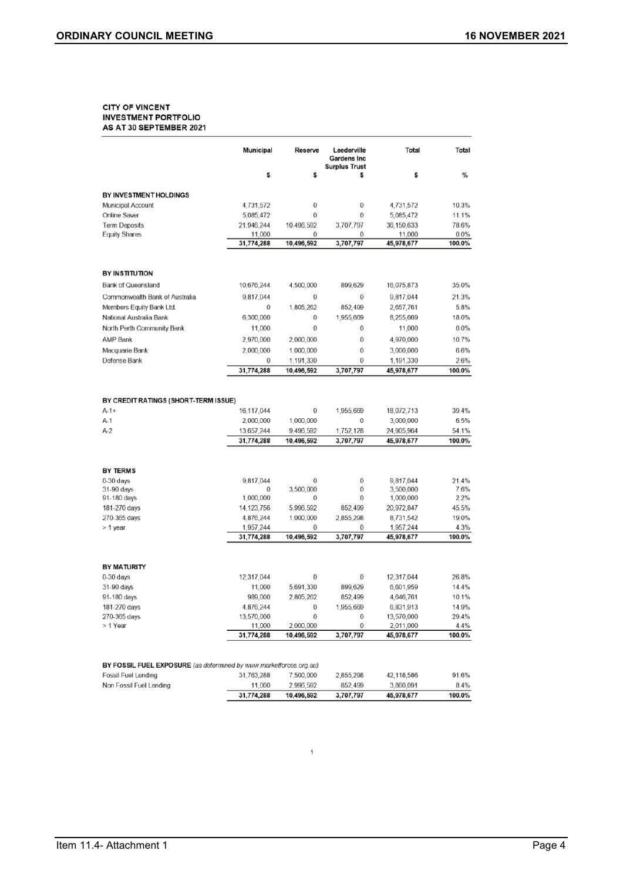#### **CITY OF VINCENT INVESTMENT PORTFOLIO** AS AT 30 SEPTEMBER 2021

|                                                                    | Municipal            | Reserve                 | Leederville<br><b>Gardens Inc</b><br><b>Surplus Trust</b> | Total                   | Total          |
|--------------------------------------------------------------------|----------------------|-------------------------|-----------------------------------------------------------|-------------------------|----------------|
|                                                                    | \$                   | \$                      | \$                                                        | \$                      | %              |
| BY INVESTMENT HOLDINGS                                             |                      |                         |                                                           |                         |                |
| <b>Municipal Account</b>                                           | 4,731,572            | 0                       | 0                                                         | 4,731,572               | 10.3%          |
| Online Saver                                                       | 5,085,472            | 0                       | 0                                                         | 5,085,472               | 11.1%          |
| <b>Term Deposits</b>                                               | 21,946,244           | 10,496,592              | 3,707,797                                                 | 36,150,633              | 78.6%          |
| <b>Equity Shares</b>                                               | 11,000               | 0                       | 0                                                         | 11,000                  | 0.0%           |
|                                                                    | 31,774,288           | 10,496,592              | 3,707,797                                                 | 45,978,677              | 100.0%         |
| <b>BY INSTITUTION</b>                                              |                      |                         |                                                           |                         |                |
| <b>Bank of Queensland</b>                                          | 10,676,244           | 4,500,000               | 899,629                                                   | 16,075,873              | 35.0%          |
| Commonwealth Bank of Australia                                     |                      | 0                       | 0                                                         |                         | 21.3%          |
| Members Equity Bank Ltd.                                           | 9,817,044<br>0       | 1,805,262               | 852,499                                                   | 9,817,044<br>2,657,761  | 5.8%           |
| National Australia Bank                                            | 6,300,000            | 0                       | 1,955,669                                                 | 8,255,669               | 18.0%          |
| North Perth Community Bank                                         |                      | 0                       | 0                                                         |                         | 0.0%           |
|                                                                    | 11,000               |                         |                                                           | 11,000                  |                |
| <b>AMP Bank</b>                                                    | 2,970,000            | 2,000,000               | $\mathbf 0$                                               | 4,970,000               | 10.7%          |
| Macquarie Bank                                                     | 2,000,000            | 1,000,000               | 0                                                         | 3,000,000               | 6.6%           |
| Defense Bank                                                       | 0                    | 1,191,330               | 0                                                         | 1,191,330               | 2.6%           |
|                                                                    | 31,774,288           | 10,496,592              | 3,707,797                                                 | 45,978,677              | 100.0%         |
| BY CREDIT RATINGS (SHORT-TERM ISSUE)                               |                      |                         |                                                           |                         |                |
| $A-1+$                                                             | 16,117,044           | 0                       | 1,955,669                                                 | 18,072,713              | 39.4%          |
| $A-1$                                                              | 2,000,000            | 1,000,000               | 0                                                         | 3,000,000               | 6.5%           |
| $A-2$                                                              | 13,657,244           | 9,496,592               | 1,752,128                                                 | 24,905,964              | 54.1%          |
|                                                                    | 31,774,288           | 10,496,592              | 3,707,797                                                 | 45,978,677              | 100.0%         |
| <b>BY TERMS</b>                                                    |                      |                         |                                                           |                         |                |
| $0-30$ days                                                        | 9,817,044            | 0                       | 0                                                         | 9,817,044               | 21.4%          |
| 31-90 days                                                         | 0                    | 3,500,000               | 0                                                         | 3,500,000               | 7.6%           |
| 91-180 days                                                        | 1,000,000            | 0                       | 0                                                         | 1,000,000               | 2.2%           |
| 181-270 days                                                       | 14, 123, 756         | 5,996,592               | 852,499                                                   | 20,972,847              | 45.5%          |
| 270-365 days                                                       | 4,876,244            | 1.000,000               | 2,855,298                                                 | 8,731,542               | 19.0%          |
| > 1 year                                                           | 1,957,244            | 0                       | 0                                                         | 1,957,244               | 4.3%           |
|                                                                    | 31,774,288           | 10,496,592              | 3,707,797                                                 | 45,978,677              | 100.0%         |
| <b>BY MATURITY</b>                                                 |                      |                         |                                                           |                         |                |
| $0-30$ days                                                        | 12,317,044           | 0                       | 0                                                         | 12,317,044              | 26.8%          |
| 31-90 days                                                         | 11,000               | 5,691,330               | 899,629                                                   | 6,601,959               | 14.4%          |
| 91-180 days                                                        | 989.000              | 2,805,262               | 852,499                                                   | 4,646,761               | 10.1%          |
| 181-270 days                                                       | 4,876,244            | 0                       | 1,955,669                                                 | 6,831,913               | 14.9%          |
| 270-365 days                                                       | 13,570,000           | 0                       | 0                                                         | 13,570,000              | 29.4%          |
| > 1 Year                                                           | 11,000               | 2,000,000               | 0                                                         | 2,011,000               | 4.4%           |
|                                                                    | 31,774,288           | 10,496,592              | 3,707,797                                                 | 45,978,677              | 100.0%         |
|                                                                    |                      |                         |                                                           |                         |                |
| BY FOSSIL FUEL EXPOSURE (as determined by www.marketforces.org.au) |                      |                         |                                                           |                         |                |
| <b>Fossil Fuel Lending</b><br>Non Fossil Fuel Lending              | 31,763,288           | 7,500,000               | 2,855,298                                                 | 42,118,586              | 91.6%          |
|                                                                    | 11,000<br>31,774,288 | 2,996,592<br>10,496,592 | 852,499<br>3,707,797                                      | 3,860,091<br>45,978,677 | 8.4%<br>100.0% |

 $\,$  1  $\,$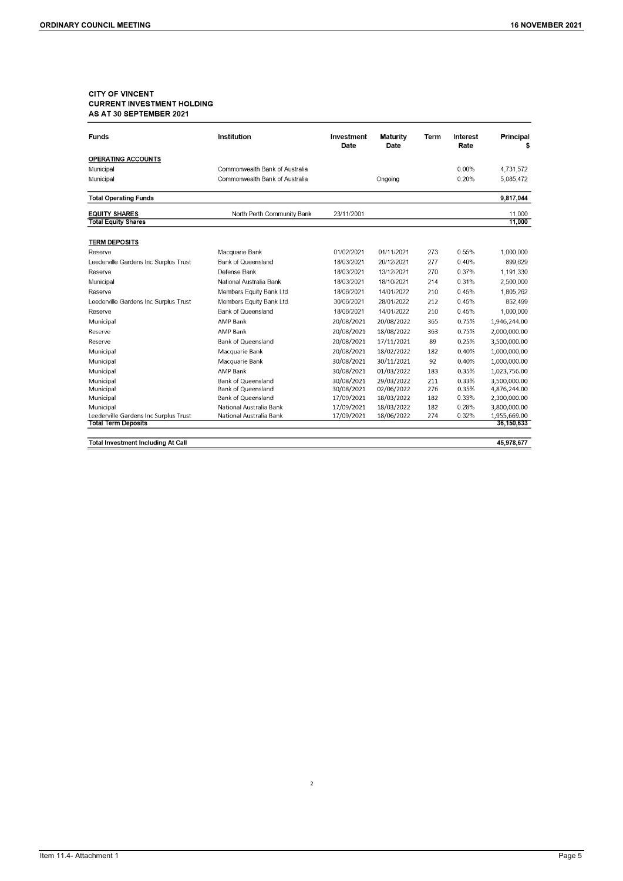# **CITY OF VINCENT CURRENT INVESTMENT HOLDING** AS AT 30 SEPTEMBER 2021

| <b>Funds</b>                          | Institution                    | Investment<br>Date | <b>Maturity</b><br>Date | Term | Interest<br>Rate | Principal<br>\$ |
|---------------------------------------|--------------------------------|--------------------|-------------------------|------|------------------|-----------------|
| <b>OPERATING ACCOUNTS</b>             |                                |                    |                         |      |                  |                 |
| Municipal                             | Commonwealth Bank of Australia |                    |                         |      | $0.00\%$         | 4.731.572       |
| Municipal                             | Commonwealth Bank of Australia | Ongoing            |                         |      | 0.20%            | 5,085,472       |
| <b>Total Operating Funds</b>          |                                |                    |                         |      |                  | 9,817,044       |
| <b>EQUITY SHARES</b>                  | North Perth Community Bank     | 23/11/2001         |                         |      |                  | 11,000          |
| <b>Total Equity Shares</b>            |                                |                    |                         |      |                  | 11,000          |
| <b>TERM DEPOSITS</b>                  |                                |                    |                         |      |                  |                 |
| Reserve                               | Macquarie Bank                 | 01/02/2021         | 01/11/2021              | 273  | 0.55%            | 1,000,000       |
| Leederville Gardens Inc Surplus Trust | <b>Bank of Queensland</b>      | 18/03/2021         | 20/12/2021              | 277  | 0.40%            | 899,629         |
| Reserve                               | Defense Bank                   | 18/03/2021         | 13/12/2021              | 270  | 0.37%            | 1,191,330       |
| Municipal                             | National Australia Bank        | 18/03/2021         | 18/10/2021              | 214  | 0.31%            | 2,500,000       |
| Reserve                               | Members Equity Bank Ltd.       | 18/06/2021         | 14/01/2022              | 210  | 0.45%            | 1.805.262       |
| Leederville Gardens Inc Surplus Trust | Members Equity Bank Ltd.       | 30/06/2021         | 28/01/2022              | 212  | 0.45%            | 852,499         |
| Reserve                               | <b>Bank of Queensland</b>      | 18/06/2021         | 14/01/2022              | 210  | 0.45%            | 1,000,000       |
| Municipal                             | AMP Bank                       | 20/08/2021         | 20/08/2022              | 365  | 0.75%            | 1,946,244.00    |
| Reserve                               | AMP Bank                       | 20/08/2021         | 18/08/2022              | 363  | 0.75%            | 2,000,000.00    |
| Reserve                               | <b>Bank of Queensland</b>      | 20/08/2021         | 17/11/2021              | 89   | 0.25%            | 3,500,000.00    |
| Municipal                             | Macquarie Bank                 | 20/08/2021         | 18/02/2022              | 182  | 0.40%            | 1,000,000.00    |
| Municipal                             | Macquarie Bank                 | 30/08/2021         | 30/11/2021              | 92   | 0.40%            | 1,000,000.00    |
| Municipal                             | <b>AMP Bank</b>                | 30/08/2021         | 01/03/2022              | 183  | 0.35%            | 1,023,756.00    |
| Municipal                             | <b>Bank of Queensland</b>      | 30/08/2021         | 29/03/2022              | 211  | 0.33%            | 3,500,000.00    |
| Municipal                             | <b>Bank of Queensland</b>      | 30/08/2021         | 02/06/2022              | 276  | 0.35%            | 4,876,244.00    |
| Municipal                             | <b>Bank of Queensland</b>      | 17/09/2021         | 18/03/2022              | 182  | 0.33%            | 2,300,000.00    |
| Municipal                             | National Australia Bank        | 17/09/2021         | 18/03/2022              | 182  | 0.28%            | 3,800,000.00    |
| Leederville Gardens Inc Surplus Trust | National Australia Bank        | 17/09/2021         | 18/06/2022              | 274  | 0.32%            | 1,955,669.00    |
| <b>Total Term Deposits</b>            |                                |                    |                         |      |                  | 36,150,633      |

**Total Investment Including At Call** 

45,978,677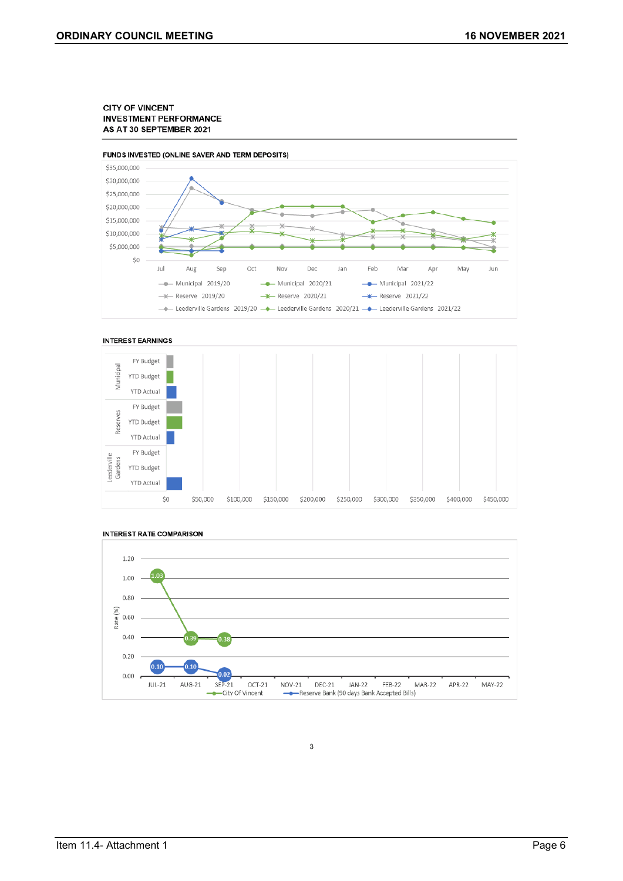#### **CITY OF VINCENT INVESTMENT PERFORMANCE** AS AT 30 SEPTEMBER 2021









#### **INTEREST RATE COMPARISON**

3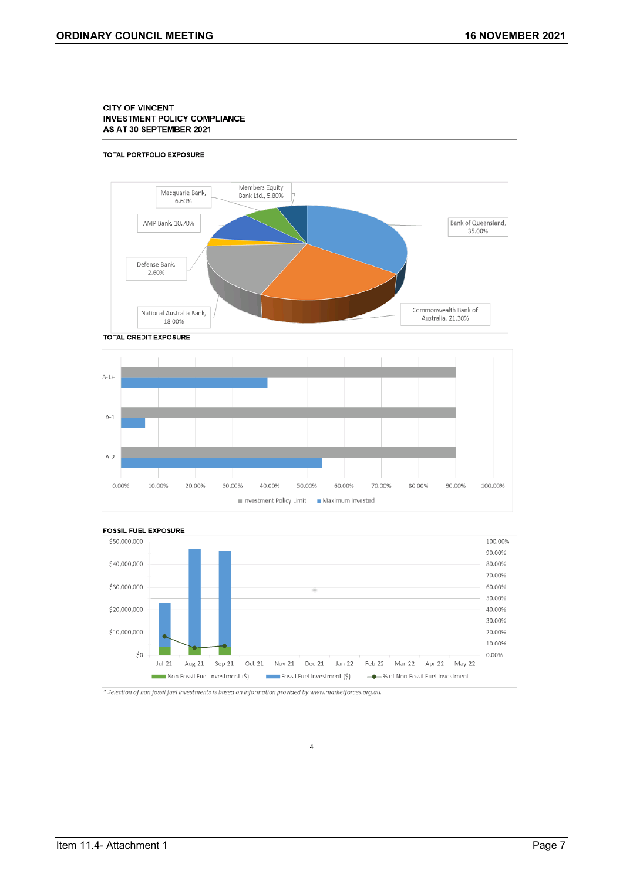#### **CITY OF VINCENT INVESTMENT POLICY COMPLIANCE** AS AT 30 SEPTEMBER 2021

#### TOTAL PORTFOLIO EXPOSURE







 $\overline{4}$ 

\* Selection of non fossil fuel investments is based on information provided by www.marketforces.org.au.

Item 11.4- Attachment 1 Page 7